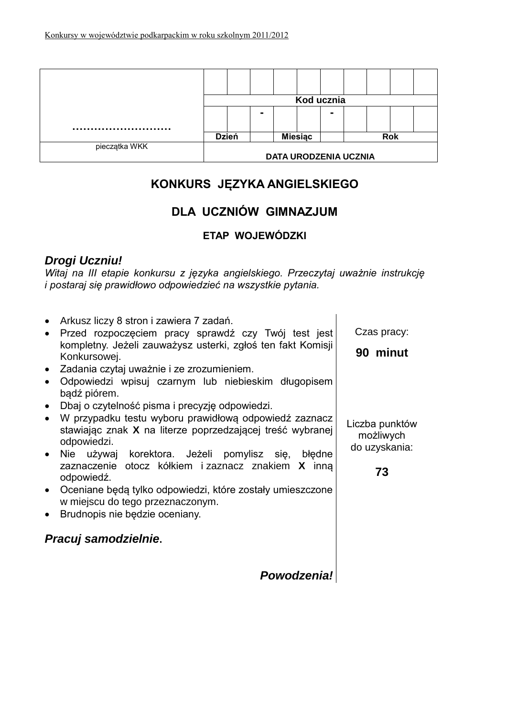|               | Kod ucznia                   |  |                |                |  |                |  |            |  |  |
|---------------|------------------------------|--|----------------|----------------|--|----------------|--|------------|--|--|
|               |                              |  | $\blacksquare$ |                |  | $\blacksquare$ |  |            |  |  |
|               |                              |  |                |                |  |                |  |            |  |  |
|               | <b>Dzień</b>                 |  |                | <b>Miesiac</b> |  |                |  | <b>Rok</b> |  |  |
| pieczątka WKK |                              |  |                |                |  |                |  |            |  |  |
|               | <b>DATA URODZENIA UCZNIA</b> |  |                |                |  |                |  |            |  |  |

# **KONKURS JĘZYKA ANGIELSKIEGO**

# **DLA UCZNIÓW GIMNAZJUM**

# **ETAP WOJEWÓDZKI**

# *Drogi Uczniu!*

*Witaj na III etapie konkursu z języka angielskiego. Przeczytaj uważnie instrukcję i postaraj się prawidłowo odpowiedzieć na wszystkie pytania.*

| Arkusz liczy 8 stron i zawiera 7 zadań.<br>$\bullet$<br>Przed rozpoczęciem pracy sprawdź czy Twój test jest<br>kompletny. Jeżeli zauważysz usterki, zgłoś ten fakt Komisji<br>Konkursowej.<br>• Zadania czytaj uważnie i ze zrozumieniem.<br>Odpowiedzi wpisuj czarnym lub niebieskim długopisem<br>bądź piórem.<br>Dbaj o czytelność pisma i precyzję odpowiedzi.<br>• W przypadku testu wyboru prawidłową odpowiedź zaznacz<br>stawiając znak X na literze poprzedzającej treść wybranej<br>odpowiedzi.<br>używaj korektora. Jeżeli pomylisz się, błędne<br>$\bullet$ Nie<br>zaznaczenie otocz kółkiem i zaznacz znakiem X inna<br>odpowiedź.<br>• Oceniane będą tylko odpowiedzi, które zostały umieszczone<br>w miejscu do tego przeznaczonym.<br>Brudnopis nie będzie oceniany.<br>$\bullet$<br>Pracuj samodzielnie. | Czas pracy:<br>90 minut<br>Liczba punktów<br>możliwych<br>do uzyskania:<br>73 |
|---------------------------------------------------------------------------------------------------------------------------------------------------------------------------------------------------------------------------------------------------------------------------------------------------------------------------------------------------------------------------------------------------------------------------------------------------------------------------------------------------------------------------------------------------------------------------------------------------------------------------------------------------------------------------------------------------------------------------------------------------------------------------------------------------------------------------|-------------------------------------------------------------------------------|
| Powodzenia!                                                                                                                                                                                                                                                                                                                                                                                                                                                                                                                                                                                                                                                                                                                                                                                                               |                                                                               |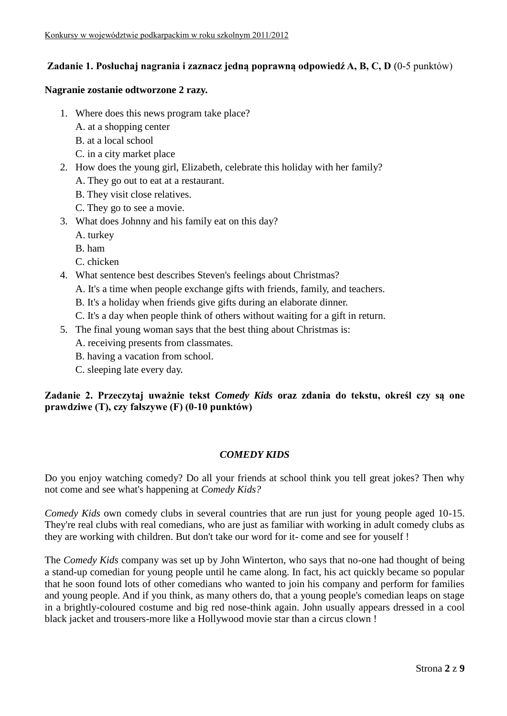# **Zadanie 1. Posłuchaj nagrania i zaznacz jedną poprawną odpowiedź A, B, C, D** (0-5 punktów)

#### **Nagranie zostanie odtworzone 2 razy.**

- 1. Where does this news program take place?
	- A. at a shopping center
	- B. at a local school
	- C. in a city market place
- 2. How does the young girl, Elizabeth, celebrate this holiday with her family?
	- A. They go out to eat at a restaurant.
	- B. They visit close relatives.
	- C. They go to see a movie.
- 3. What does Johnny and his family eat on this day?
	- A. turkey
	- B. ham
	- C. chicken
- 4. What sentence best describes Steven's feelings about Christmas?
	- A. It's a time when people exchange gifts with friends, family, and teachers.
	- B. It's a holiday when friends give gifts during an elaborate dinner.
	- C. It's a day when people think of others without waiting for a gift in return.
- 5. The final young woman says that the best thing about Christmas is:
	- A. receiving presents from classmates.
	- B. having a vacation from school.
	- C. sleeping late every day.

**Zadanie 2. Przeczytaj uważnie tekst** *Comedy Kids* **oraz zdania do tekstu, określ czy są one prawdziwe (T), czy fałszywe (F) (0-10 punktów)**

## *COMEDY KIDS*

Do you enjoy watching comedy? Do all your friends at school think you tell great jokes? Then why not come and see what's happening at *Comedy Kids?*

*Comedy Kids* own comedy clubs in several countries that are run just for young people aged 10-15. They're real clubs with real comedians, who are just as familiar with working in adult comedy clubs as they are working with children. But don't take our word for it- come and see for youself !

The *Comedy Kids* company was set up by John Winterton, who says that no-one had thought of being a stand-up comedian for young people until he came along. In fact, his act quickly became so popular that he soon found lots of other comedians who wanted to join his company and perform for families and young people. And if you think, as many others do, that a young people's comedian leaps on stage in a brightly-coloured costume and big red nose-think again. John usually appears dressed in a cool black jacket and trousers-more like a Hollywood movie star than a circus clown !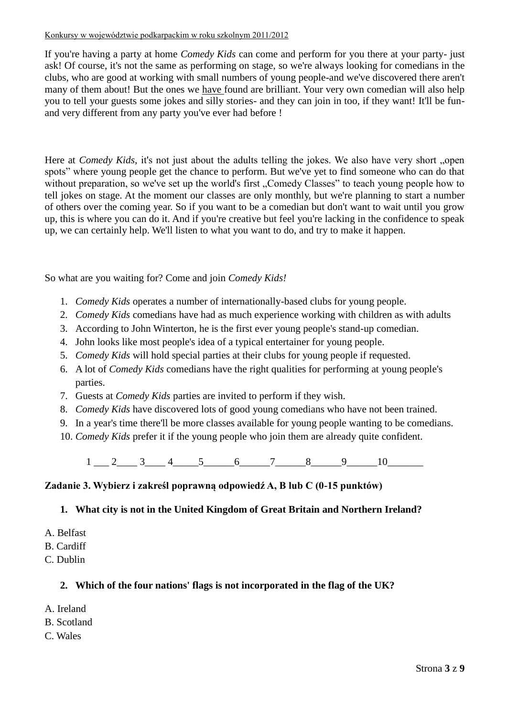#### Konkursy w województwie podkarpackim w roku szkolnym 2011/2012

If you're having a party at home *Comedy Kids* can come and perform for you there at your party- just ask! Of course, it's not the same as performing on stage, so we're always looking for comedians in the clubs, who are good at working with small numbers of young people-and we've discovered there aren't many of them about! But the ones we have found are brilliant. Your very own comedian will also help you to tell your guests some jokes and silly stories- and they can join in too, if they want! It'll be funand very different from any party you've ever had before !

Here at *Comedy Kids*, it's not just about the adults telling the jokes. We also have very short "open spots" where young people get the chance to perform. But we've yet to find someone who can do that without preparation, so we've set up the world's first . Comedy Classes" to teach young people how to tell jokes on stage. At the moment our classes are only monthly, but we're planning to start a number of others over the coming year. So if you want to be a comedian but don't want to wait until you grow up, this is where you can do it. And if you're creative but feel you're lacking in the confidence to speak up, we can certainly help. We'll listen to what you want to do, and try to make it happen.

So what are you waiting for? Come and join *Comedy Kids!*

- 1. *Comedy Kids* operates a number of internationally-based clubs for young people.
- 2. *Comedy Kids* comedians have had as much experience working with children as with adults
- 3. According to John Winterton, he is the first ever young people's stand-up comedian.
- 4. John looks like most people's idea of a typical entertainer for young people.
- 5. *Comedy Kids* will hold special parties at their clubs for young people if requested.
- 6. A lot of *Comedy Kids* comedians have the right qualities for performing at young people's parties.
- 7. Guests at *Comedy Kids* parties are invited to perform if they wish.
- 8. *Comedy Kids* have discovered lots of good young comedians who have not been trained.
- 9. In a year's time there'll be more classes available for young people wanting to be comedians.
- 10. *Comedy Kids* prefer it if the young people who join them are already quite confident.

 $1 \quad 2 \quad 3 \quad 4 \quad 5 \quad 6 \quad 7 \quad 8 \quad 9 \quad 10$ 

## **Zadanie 3. Wybierz i zakreśl poprawną odpowiedź A, B lub C (0-15 punktów)**

## **1. What city is not in the United Kingdom of Great Britain and Northern Ireland?**

- A. Belfast
- B. Cardiff
- C. Dublin

# **2. Which of the four nations' flags is not incorporated in the flag of the UK?**

- A. Ireland
- B. Scotland
- C. Wales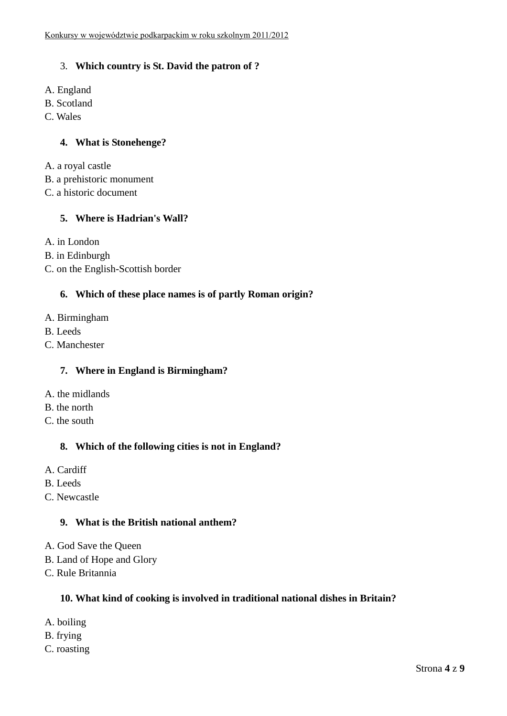# 3. **Which country is St. David the patron of ?**

- A. England
- B. Scotland
- C. Wales

## **4. What is Stonehenge?**

- A. a royal castle
- B. a prehistoric monument
- C. a historic document

# **5. Where is Hadrian's Wall?**

A. in London

- B. in Edinburgh
- C. on the English-Scottish border

## **6. Which of these place names is of partly Roman origin?**

- A. Birmingham
- B. Leeds
- C. Manchester

## **7. Where in England is Birmingham?**

- A. the midlands
- B. the north
- C. the south

## **8. Which of the following cities is not in England?**

- A. Cardiff
- B. Leeds
- C. Newcastle

#### **9. What is the British national anthem?**

- A. God Save the Queen
- B. Land of Hope and Glory
- C. Rule Britannia

## **10. What kind of cooking is involved in traditional national dishes in Britain?**

- A. boiling
- B. frying
- C. roasting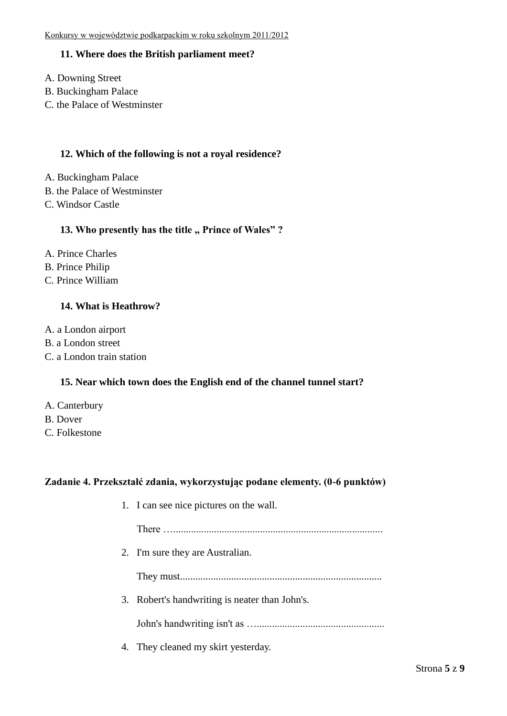## **11. Where does the British parliament meet?**

- A. Downing Street
- B. Buckingham Palace
- C. the Palace of Westminster

#### **12. Which of the following is not a royal residence?**

- A. Buckingham Palace
- B. the Palace of Westminster
- C. Windsor Castle

#### **13.** Who presently has the title " Prince of Wales"?

- A. Prince Charles
- B. Prince Philip
- C. Prince William

## **14. What is Heathrow?**

- A. a London airport
- B. a London street
- C. a London train station

#### **15. Near which town does the English end of the channel tunnel start?**

- A. Canterbury
- B. Dover
- C. Folkestone

#### **Zadanie 4. Przekształć zdania, wykorzystując podane elementy. (0-6 punktów)**

1. I can see nice pictures on the wall.

There …..................................................................................

2. I'm sure they are Australian.

They must...............................................................................

3. Robert's handwriting is neater than John's.

John's handwriting isn't as …..................................................

4. They cleaned my skirt yesterday.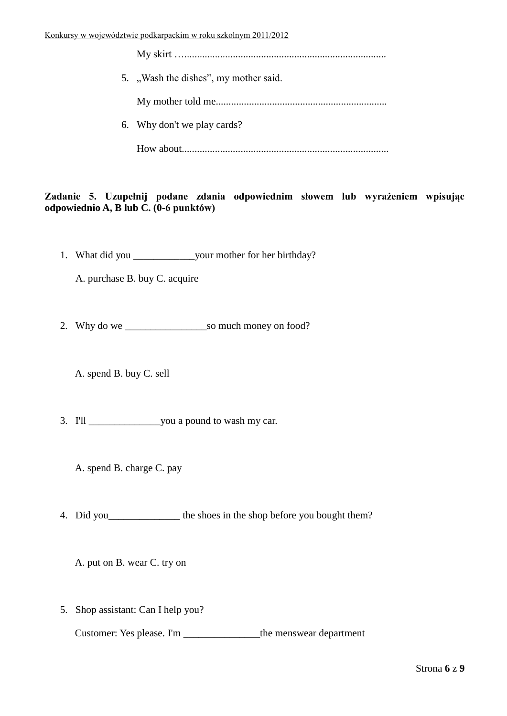| 5. "Wash the dishes", my mother said. |
|---------------------------------------|
|                                       |
| 6. Why don't we play cards?           |
|                                       |

# **Zadanie 5. Uzupełnij podane zdania odpowiednim słowem lub wyrażeniem wpisując odpowiednio A, B lub C. (0-6 punktów)**

1. What did you \_\_\_\_\_\_\_\_\_\_\_\_your mother for her birthday?

A. purchase B. buy C. acquire

2. Why do we \_\_\_\_\_\_\_\_\_\_\_\_\_\_\_\_so much money on food?

A. spend B. buy C. sell

- 3. I'll \_\_\_\_\_\_\_\_\_\_\_\_\_\_you a pound to wash my car.
	- A. spend B. charge C. pay
- 4. Did you the shoes in the shop before you bought them?

A. put on B. wear C. try on

5. Shop assistant: Can I help you?

Customer: Yes please. I'm \_\_\_\_\_\_\_\_\_\_\_\_\_\_\_the menswear department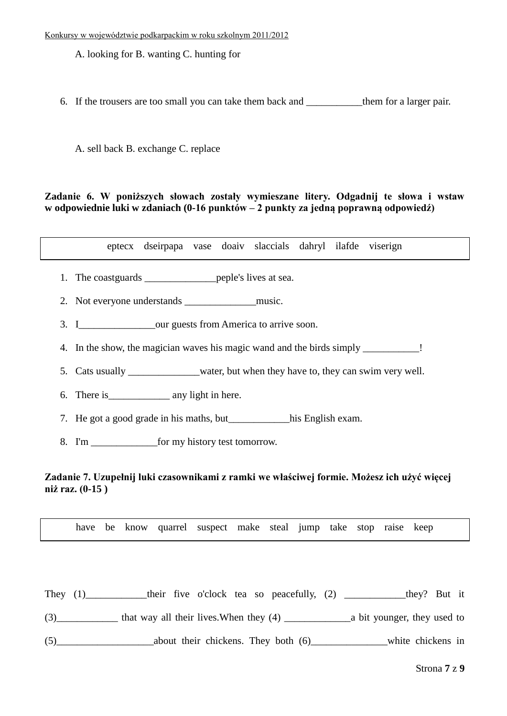A. looking for B. wanting C. hunting for

6. If the trousers are too small you can take them back and them for a larger pair.

A. sell back B. exchange C. replace

#### **Zadanie 6. W poniższych słowach zostały wymieszane litery. Odgadnij te słowa i wstaw w odpowiednie luki w zdaniach (0-16 punktów – 2 punkty za jedną poprawną odpowiedź)**

eptecx dseirpapa vase doaiv slaccials dahryl ilafde viserign

- 1. The coastguards \_\_\_\_\_\_\_\_\_\_\_\_\_\_peple's lives at sea.
- 2. Not everyone understands \_\_\_\_\_\_\_\_\_\_\_\_\_\_music.
- 3. I cour guests from America to arrive soon.
- 4. In the show, the magician waves his magic wand and the birds simply \_\_\_\_\_\_\_\_\_\_
- 5. Cats usually water, but when they have to, they can swim very well.
- 6. There is\_\_\_\_\_\_\_\_\_\_\_\_ any light in here.
- 7. He got a good grade in his maths, but his English exam.
- 8. I'm <u>for</u> my history test tomorrow.

#### **Zadanie 7. Uzupełnij luki czasownikami z ramki we właściwej formie. Możesz ich użyć więcej niż raz. (0-15 )**

have be know quarrel suspect make steal jump take stop raise keep

They (1)\_\_\_\_\_\_\_\_\_\_their five o'clock tea so peacefully, (2) \_\_\_\_\_\_\_\_\_\_\_they? But it

(3)\_\_\_\_\_\_\_\_\_\_\_\_ that way all their lives.When they (4) \_\_\_\_\_\_\_\_\_\_\_\_\_a bit younger, they used to

(5) about their chickens. They both (6) white chickens in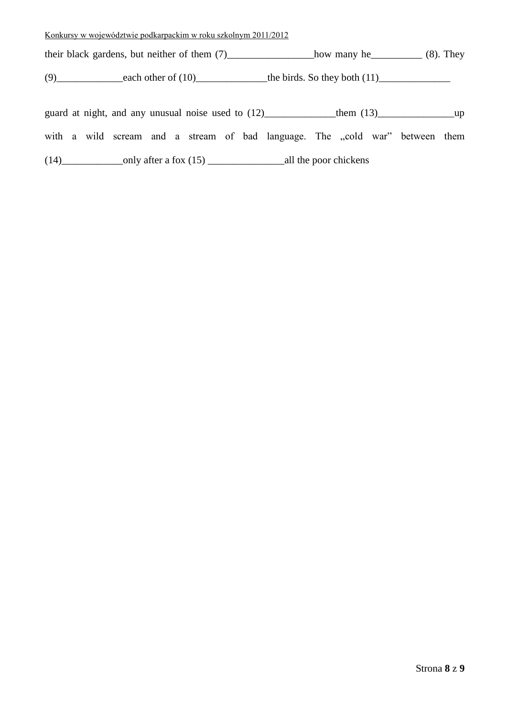their black gardens, but neither of them (7)\_\_\_\_\_\_\_\_\_\_\_\_\_\_\_how many he\_\_\_\_\_\_\_\_\_\_ (8). They

(9)\_\_\_\_\_\_\_\_\_\_\_\_\_each other of (10)\_\_\_\_\_\_\_\_\_\_\_\_\_\_the birds. So they both (11)\_\_\_\_\_\_\_\_\_\_\_\_\_\_

|      |                         |  | guard at night, and any unusual noise used to (12) |  |  |  |  |                       | them $(13)$                                                                  |  |  |  |  |  |
|------|-------------------------|--|----------------------------------------------------|--|--|--|--|-----------------------|------------------------------------------------------------------------------|--|--|--|--|--|
|      |                         |  |                                                    |  |  |  |  |                       | with a wild scream and a stream of bad language. The ,cold war" between them |  |  |  |  |  |
| (14) | only after a fox $(15)$ |  |                                                    |  |  |  |  | all the poor chickens |                                                                              |  |  |  |  |  |